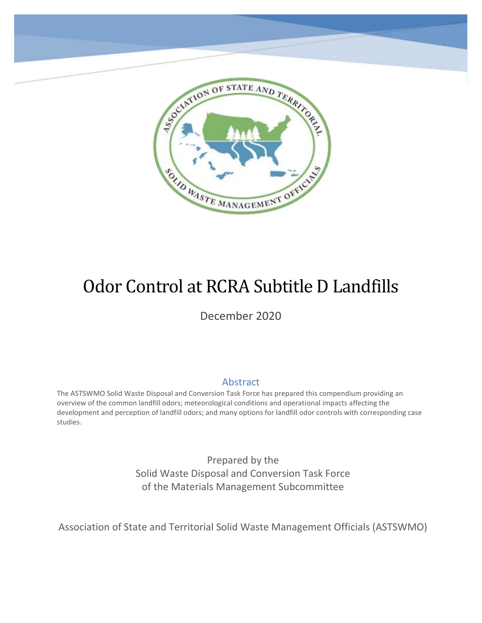

# Odor Control at RCRA Subtitle D Landfills

SOLID WASTE MANAGEMENT OFFICIN

December 2020

#### Abstract

The ASTSWMO Solid Waste Disposal and Conversion Task Force has prepared this compendium providing an overview of the common landfill odors; meteorological conditions and operational impacts affecting the development and perception of landfill odors; and many options for landfill odor controls with corresponding case studies.

> Prepared by the Solid Waste Disposal and Conversion Task Force of the Materials Management Subcommittee

Association of State and Territorial Solid Waste Management Officials (ASTSWMO)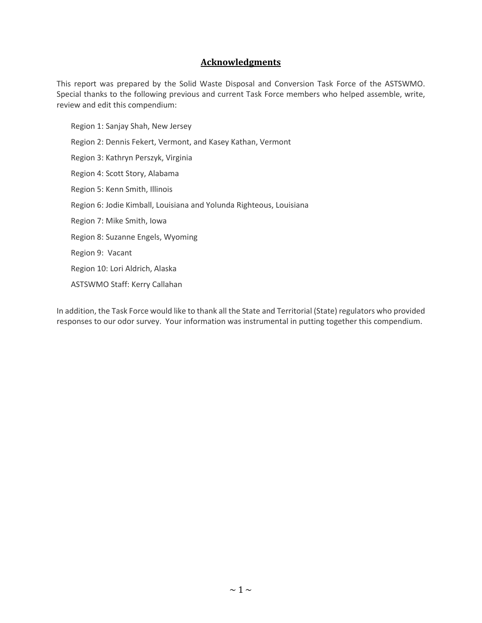#### **Acknowledgments**

This report was prepared by the Solid Waste Disposal and Conversion Task Force of the ASTSWMO. Special thanks to the following previous and current Task Force members who helped assemble, write, review and edit this compendium:

Region 1: Sanjay Shah, New Jersey Region 2: Dennis Fekert, Vermont, and Kasey Kathan, Vermont Region 3: Kathryn Perszyk, Virginia Region 4: Scott Story, Alabama Region 5: Kenn Smith, Illinois Region 6: Jodie Kimball, Louisiana and Yolunda Righteous, Louisiana Region 7: Mike Smith, Iowa Region 8: Suzanne Engels, Wyoming Region 9: Vacant Region 10: Lori Aldrich, Alaska ASTSWMO Staff: Kerry Callahan

In addition, the Task Force would like to thank all the State and Territorial (State) regulators who provided responses to our odor survey. Your information was instrumental in putting together this compendium.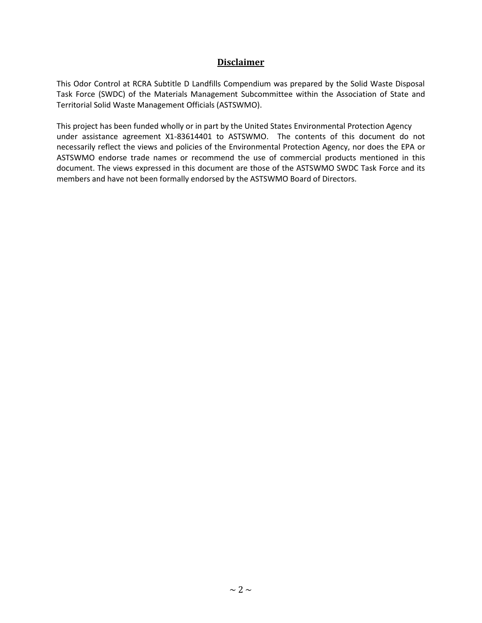#### **Disclaimer**

This Odor Control at RCRA Subtitle D Landfills Compendium was prepared by the Solid Waste Disposal Task Force (SWDC) of the Materials Management Subcommittee within the Association of State and Territorial Solid Waste Management Officials (ASTSWMO).

This project has been funded wholly or in part by the United States Environmental Protection Agency under assistance agreement X1-83614401 to ASTSWMO. The contents of this document do not necessarily reflect the views and policies of the Environmental Protection Agency, nor does the EPA or ASTSWMO endorse trade names or recommend the use of commercial products mentioned in this document. The views expressed in this document are those of the ASTSWMO SWDC Task Force and its members and have not been formally endorsed by the ASTSWMO Board of Directors.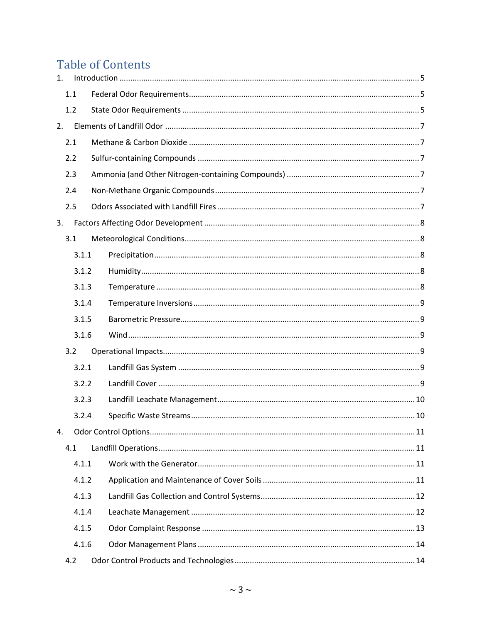## **Table of Contents**

| 1. |       |  |  |  |  |
|----|-------|--|--|--|--|
|    | 1.1   |  |  |  |  |
|    | 1.2   |  |  |  |  |
| 2. |       |  |  |  |  |
|    | 2.1   |  |  |  |  |
|    | 2.2   |  |  |  |  |
|    | 2.3   |  |  |  |  |
|    | 2.4   |  |  |  |  |
|    | 2.5   |  |  |  |  |
| 3. |       |  |  |  |  |
|    | 3.1   |  |  |  |  |
|    | 3.1.1 |  |  |  |  |
|    | 3.1.2 |  |  |  |  |
|    | 3.1.3 |  |  |  |  |
|    | 3.1.4 |  |  |  |  |
|    | 3.1.5 |  |  |  |  |
|    | 3.1.6 |  |  |  |  |
|    | 3.2   |  |  |  |  |
|    | 3.2.1 |  |  |  |  |
|    | 3.2.2 |  |  |  |  |
|    | 3.2.3 |  |  |  |  |
|    | 3.2.4 |  |  |  |  |
| 4. |       |  |  |  |  |
|    | 4.1   |  |  |  |  |
|    | 4.1.1 |  |  |  |  |
|    | 4.1.2 |  |  |  |  |
|    | 4.1.3 |  |  |  |  |
|    | 4.1.4 |  |  |  |  |
|    | 4.1.5 |  |  |  |  |
|    | 4.1.6 |  |  |  |  |
|    | 4.2   |  |  |  |  |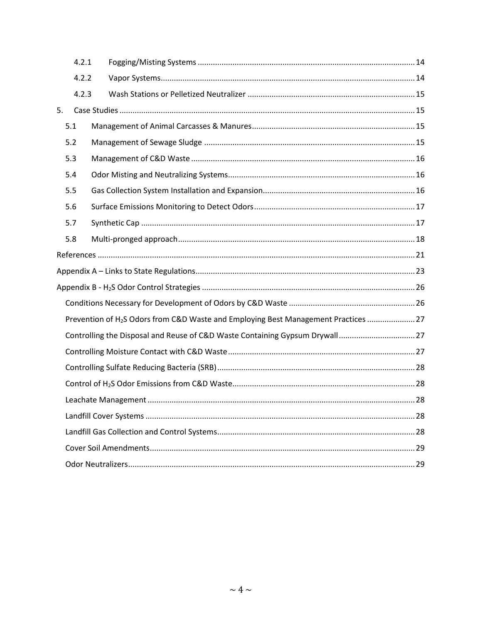|                                                                                                 | 4.2.1 |  |  |  |  |  |
|-------------------------------------------------------------------------------------------------|-------|--|--|--|--|--|
|                                                                                                 | 4.2.2 |  |  |  |  |  |
|                                                                                                 | 4.2.3 |  |  |  |  |  |
| 5.                                                                                              |       |  |  |  |  |  |
|                                                                                                 | 5.1   |  |  |  |  |  |
|                                                                                                 | 5.2   |  |  |  |  |  |
|                                                                                                 | 5.3   |  |  |  |  |  |
|                                                                                                 | 5.4   |  |  |  |  |  |
|                                                                                                 | 5.5   |  |  |  |  |  |
|                                                                                                 | 5.6   |  |  |  |  |  |
|                                                                                                 | 5.7   |  |  |  |  |  |
|                                                                                                 | 5.8   |  |  |  |  |  |
|                                                                                                 |       |  |  |  |  |  |
|                                                                                                 |       |  |  |  |  |  |
|                                                                                                 |       |  |  |  |  |  |
|                                                                                                 |       |  |  |  |  |  |
| Prevention of H <sub>2</sub> S Odors from C&D Waste and Employing Best Management Practices  27 |       |  |  |  |  |  |
| Controlling the Disposal and Reuse of C&D Waste Containing Gypsum Drywall27                     |       |  |  |  |  |  |
|                                                                                                 |       |  |  |  |  |  |
|                                                                                                 |       |  |  |  |  |  |
|                                                                                                 |       |  |  |  |  |  |
|                                                                                                 |       |  |  |  |  |  |
|                                                                                                 |       |  |  |  |  |  |
|                                                                                                 |       |  |  |  |  |  |
|                                                                                                 |       |  |  |  |  |  |
|                                                                                                 |       |  |  |  |  |  |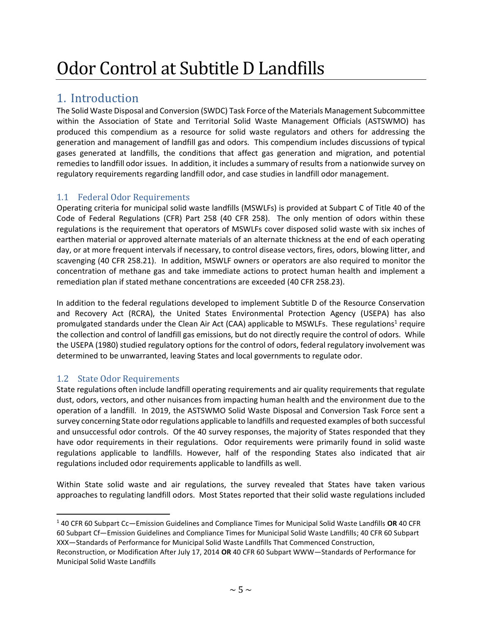# Odor Control at Subtitle D Landfills

## <span id="page-5-0"></span>1. Introduction

The Solid Waste Disposal and Conversion (SWDC) Task Force of the Materials Management Subcommittee within the Association of State and Territorial Solid Waste Management Officials (ASTSWMO) has produced this compendium as a resource for solid waste regulators and others for addressing the generation and management of landfill gas and odors. This compendium includes discussions of typical gases generated at landfills, the conditions that affect gas generation and migration, and potential remedies to landfill odor issues. In addition, it includes a summary of results from a nationwide survey on regulatory requirements regarding landfill odor, and case studies in landfill odor management.

#### <span id="page-5-1"></span>1.1 Federal Odor Requirements

Operating criteria for municipal solid waste landfills (MSWLFs) is provided at Subpart C of Title 40 of the Code of Federal Regulations (CFR) Part 258 (40 CFR 258). The only mention of odors within these regulations is the requirement that operators of MSWLFs cover disposed solid waste with six inches of earthen material or approved alternate materials of an alternate thickness at the end of each operating day, or at more frequent intervals if necessary, to control disease vectors, fires, odors, blowing litter, and scavenging (40 CFR 258.21). In addition, MSWLF owners or operators are also required to monitor the concentration of methane gas and take immediate actions to protect human health and implement a remediation plan if stated methane concentrations are exceeded (40 CFR 258.23).

In addition to the federal regulations developed to implement Subtitle D of the Resource Conservation and Recovery Act (RCRA), the United States Environmental Protection Agency (USEPA) has also promulgated standards under the Clean Air Act (CAA) applicable to MSWLFs. These regulations<sup>1</sup> require the collection and control of landfill gas emissions, but do not directly require the control of odors. While the USEPA (1980) studied regulatory options for the control of odors, federal regulatory involvement was determined to be unwarranted, leaving States and local governments to regulate odor.

#### <span id="page-5-2"></span>1.2 State Odor Requirements

State regulations often include landfill operating requirements and air quality requirements that regulate dust, odors, vectors, and other nuisances from impacting human health and the environment due to the operation of a landfill. In 2019, the ASTSWMO Solid Waste Disposal and Conversion Task Force sent a survey concerning State odor regulations applicable to landfills and requested examples of both successful and unsuccessful odor controls. Of the 40 survey responses, the majority of States responded that they have odor requirements in their regulations. Odor requirements were primarily found in solid waste regulations applicable to landfills. However, half of the responding States also indicated that air regulations included odor requirements applicable to landfills as well.

Within State solid waste and air regulations, the survey revealed that States have taken various approaches to regulating landfill odors. Most States reported that their solid waste regulations included

<sup>1</sup> 40 CFR 60 Subpart Cc—Emission Guidelines and Compliance Times for Municipal Solid Waste Landfills **OR** 40 CFR 60 Subpart Cf—Emission Guidelines and Compliance Times for Municipal Solid Waste Landfills; 40 CFR 60 Subpart XXX—Standards of Performance for Municipal Solid Waste Landfills That Commenced Construction,

Reconstruction, or Modification After July 17, 2014 **OR** 40 CFR 60 Subpart WWW—Standards of Performance for Municipal Solid Waste Landfills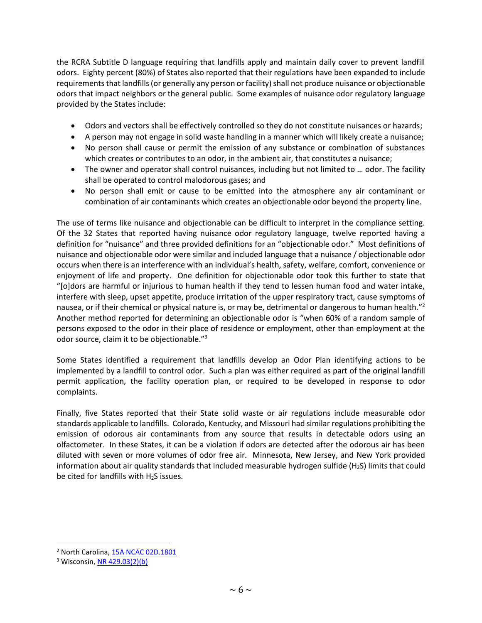the RCRA Subtitle D language requiring that landfills apply and maintain daily cover to prevent landfill odors. Eighty percent (80%) of States also reported that their regulations have been expanded to include requirements that landfills (or generally any person or facility) shall not produce nuisance or objectionable odors that impact neighbors or the general public. Some examples of nuisance odor regulatory language provided by the States include:

- Odors and vectors shall be effectively controlled so they do not constitute nuisances or hazards;
- A person may not engage in solid waste handling in a manner which will likely create a nuisance;
- No person shall cause or permit the emission of any substance or combination of substances which creates or contributes to an odor, in the ambient air, that constitutes a nuisance;
- The owner and operator shall control nuisances, including but not limited to ... odor. The facility shall be operated to control malodorous gases; and
- No person shall emit or cause to be emitted into the atmosphere any air contaminant or combination of air contaminants which creates an objectionable odor beyond the property line.

The use of terms like nuisance and objectionable can be difficult to interpret in the compliance setting. Of the 32 States that reported having nuisance odor regulatory language, twelve reported having a definition for "nuisance" and three provided definitions for an "objectionable odor." Most definitions of nuisance and objectionable odor were similar and included language that a nuisance / objectionable odor occurs when there is an interference with an individual's health, safety, welfare, comfort, convenience or enjoyment of life and property. One definition for objectionable odor took this further to state that "[o]dors are harmful or injurious to human health if they tend to lessen human food and water intake, interfere with sleep, upset appetite, produce irritation of the upper respiratory tract, cause symptoms of nausea, or if their chemical or physical nature is, or may be, detrimental or dangerous to human health."<sup>2</sup> Another method reported for determining an objectionable odor is "when 60% of a random sample of persons exposed to the odor in their place of residence or employment, other than employment at the odor source, claim it to be objectionable."<sup>3</sup>

Some States identified a requirement that landfills develop an Odor Plan identifying actions to be implemented by a landfill to control odor. Such a plan was either required as part of the original landfill permit application, the facility operation plan, or required to be developed in response to odor complaints.

Finally, five States reported that their State solid waste or air regulations include measurable odor standards applicable to landfills. Colorado, Kentucky, and Missouri had similar regulations prohibiting the emission of odorous air contaminants from any source that results in detectable odors using an olfactometer. In these States, it can be a violation if odors are detected after the odorous air has been diluted with seven or more volumes of odor free air. Minnesota, New Jersey, and New York provided information about air quality standards that included measurable hydrogen sulfide ( $H_2S$ ) limits that could be cited for landfills with  $H_2S$  issues.

<sup>&</sup>lt;sup>2</sup> North Carolina, [15A NCAC 02D.1801](https://files.nc.gov/ncdeq/Air%20Quality/rules/rules_review/secD1800.pdf)

<sup>&</sup>lt;sup>3</sup> Wisconsin[, NR 429.03\(2\)\(b\)](https://docs.legis.wisconsin.gov/code/admin_code/nr/400/429/03/2)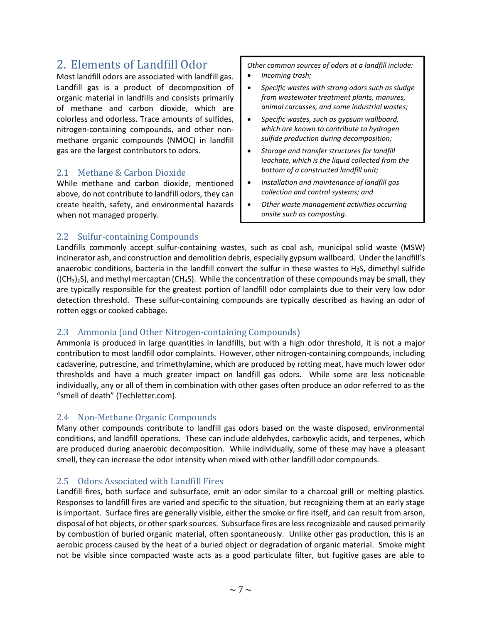### <span id="page-7-0"></span>2. Elements of Landfill Odor

Most landfill odors are associated with landfill gas. Landfill gas is a product of decomposition of organic material in landfills and consists primarily of methane and carbon dioxide, which are colorless and odorless. Trace amounts of sulfides, nitrogen-containing compounds, and other nonmethane organic compounds (NMOC) in landfill gas are the largest contributors to odors.

#### <span id="page-7-1"></span>2.1 Methane & Carbon Dioxide

While methane and carbon dioxide, mentioned above, do not contribute to landfill odors, they can create health, safety, and environmental hazards when not managed properly.

*Other common sources of odors at a landfill include:* 

- *Incoming trash;*
- *Specific wastes with strong odors such as sludge from wastewater treatment plants, manures, animal carcasses, and some industrial wastes;*
- *Specific wastes, such as gypsum wallboard, which are known to contribute to hydrogen sulfide production during decomposition;*
- *Storage and transfer structures for landfill leachate, which is the liquid collected from the bottom of a constructed landfill unit;*
- *Installation and maintenance of landfill gas collection and control systems; and*
- *Other waste management activities occurring onsite such as composting.*

#### <span id="page-7-2"></span>2.2 Sulfur-containing Compounds

Landfills commonly accept sulfur-containing wastes, such as coal ash, municipal solid waste (MSW) incinerator ash, and construction and demolition debris, especially gypsum wallboard. Under the landfill's anaerobic conditions, bacteria in the landfill convert the sulfur in these wastes to  $H_2S$ , dimethyl sulfide  $((CH<sub>3</sub>)<sub>2</sub>S)$ , and methyl mercaptan (CH<sub>4</sub>S). While the concentration of these compounds may be small, they are typically responsible for the greatest portion of landfill odor complaints due to their very low odor detection threshold. These sulfur-containing compounds are typically described as having an odor of rotten eggs or cooked cabbage.

#### <span id="page-7-3"></span>2.3 Ammonia (and Other Nitrogen-containing Compounds)

Ammonia is produced in large quantities in landfills, but with a high odor threshold, it is not a major contribution to most landfill odor complaints. However, other nitrogen-containing compounds, including cadaverine, putrescine, and trimethylamine, which are produced by rotting meat, have much lower odor thresholds and have a much greater impact on landfill gas odors. While some are less noticeable individually, any or all of them in combination with other gases often produce an odor referred to as the "smell of death" (Techletter.com).

#### <span id="page-7-4"></span>2.4 Non-Methane Organic Compounds

Many other compounds contribute to landfill gas odors based on the waste disposed, environmental conditions, and landfill operations. These can include aldehydes, carboxylic acids, and terpenes, which are produced during anaerobic decomposition. While individually, some of these may have a pleasant smell, they can increase the odor intensity when mixed with other landfill odor compounds.

#### <span id="page-7-5"></span>2.5 Odors Associated with Landfill Fires

Landfill fires, both surface and subsurface, emit an odor similar to a charcoal grill or melting plastics. Responses to landfill fires are varied and specific to the situation, but recognizing them at an early stage is important. Surface fires are generally visible, either the smoke or fire itself, and can result from arson, disposal of hot objects, or other spark sources. Subsurface fires are less recognizable and caused primarily by combustion of buried organic material, often spontaneously. Unlike other gas production, this is an aerobic process caused by the heat of a buried object or degradation of organic material. Smoke might not be visible since compacted waste acts as a good particulate filter, but fugitive gases are able to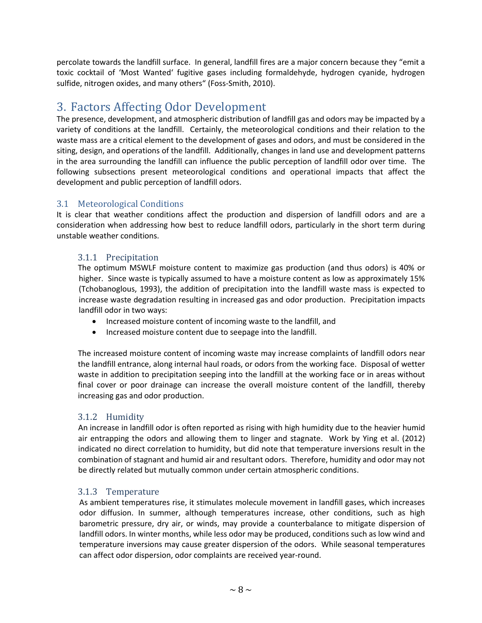percolate towards the landfill surface. In general, landfill fires are a major concern because they "emit a toxic cocktail of 'Most Wanted' fugitive gases including formaldehyde, hydrogen cyanide, hydrogen sulfide, nitrogen oxides, and many others" (Foss-Smith, 2010).

## <span id="page-8-0"></span>3. Factors Affecting Odor Development

The presence, development, and atmospheric distribution of landfill gas and odors may be impacted by a variety of conditions at the landfill. Certainly, the meteorological conditions and their relation to the waste mass are a critical element to the development of gases and odors, and must be considered in the siting, design, and operations of the landfill. Additionally, changes in land use and development patterns in the area surrounding the landfill can influence the public perception of landfill odor over time. The following subsections present meteorological conditions and operational impacts that affect the development and public perception of landfill odors.

#### <span id="page-8-1"></span>3.1 Meteorological Conditions

It is clear that weather conditions affect the production and dispersion of landfill odors and are a consideration when addressing how best to reduce landfill odors, particularly in the short term during unstable weather conditions.

#### <span id="page-8-2"></span>3.1.1 Precipitation

The optimum MSWLF moisture content to maximize gas production (and thus odors) is 40% or higher. Since waste is typically assumed to have a moisture content as low as approximately 15% (Tchobanoglous, 1993), the addition of precipitation into the landfill waste mass is expected to increase waste degradation resulting in increased gas and odor production. Precipitation impacts landfill odor in two ways:

- Increased moisture content of incoming waste to the landfill, and
- Increased moisture content due to seepage into the landfill.

The increased moisture content of incoming waste may increase complaints of landfill odors near the landfill entrance, along internal haul roads, or odors from the working face. Disposal of wetter waste in addition to precipitation seeping into the landfill at the working face or in areas without final cover or poor drainage can increase the overall moisture content of the landfill, thereby increasing gas and odor production.

#### <span id="page-8-3"></span>3.1.2 Humidity

An increase in landfill odor is often reported as rising with high humidity due to the heavier humid air entrapping the odors and allowing them to linger and stagnate. Work by Ying et al. (2012) indicated no direct correlation to humidity, but did note that temperature inversions result in the combination of stagnant and humid air and resultant odors. Therefore, humidity and odor may not be directly related but mutually common under certain atmospheric conditions.

#### <span id="page-8-4"></span>3.1.3 Temperature

As ambient temperatures rise, it stimulates molecule movement in landfill gases, which increases odor diffusion. In summer, although temperatures increase, other conditions, such as high barometric pressure, dry air, or winds, may provide a counterbalance to mitigate dispersion of landfill odors. In winter months, while less odor may be produced, conditions such as low wind and temperature inversions may cause greater dispersion of the odors. While seasonal temperatures can affect odor dispersion, odor complaints are received year-round.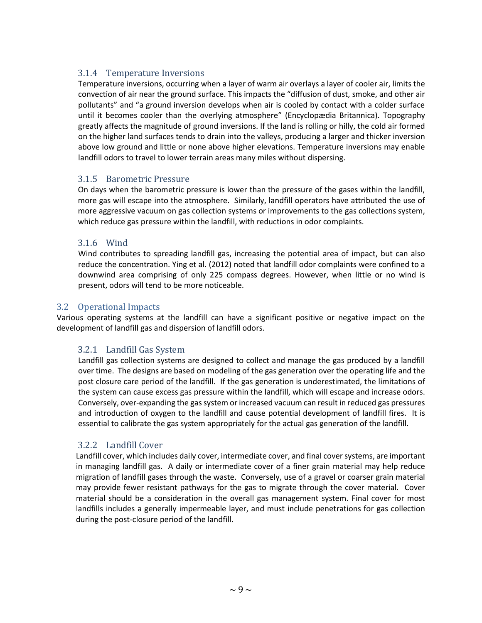#### <span id="page-9-0"></span>3.1.4 Temperature Inversions

Temperature inversions, occurring when a layer of warm air overlays a layer of cooler air, limits the convection of air near the ground surface. This impacts the "diffusion of dust, smoke, and other air pollutants" and "a ground inversion develops when air is cooled by contact with a colder surface until it becomes cooler than the overlying atmosphere" (Encyclopædia Britannica). [Topography](https://www.merriam-webster.com/dictionary/Topography) greatly affects the magnitude of ground inversions. If the land is rolling or hilly, the cold air formed on the higher land surfaces tends to drain into the valleys, producing a larger and thicker inversion above low ground and little or none above higher elevations. Temperature inversions may enable landfill odors to travel to lower terrain areas many miles without dispersing.

#### <span id="page-9-1"></span>3.1.5 Barometric Pressure

On days when the barometric pressure is lower than the pressure of the gases within the landfill, more gas will escape into the atmosphere. Similarly, landfill operators have attributed the use of more aggressive vacuum on gas collection systems or improvements to the gas collections system, which reduce gas pressure within the landfill, with reductions in odor complaints.

#### <span id="page-9-2"></span>3.1.6 Wind

Wind contributes to spreading landfill gas, increasing the potential area of impact, but can also reduce the concentration. Ying et al. (2012) noted that landfill odor complaints were confined to a downwind area comprising of only 225 compass degrees. However, when little or no wind is present, odors will tend to be more noticeable.

#### <span id="page-9-3"></span>3.2 Operational Impacts

Various operating systems at the landfill can have a significant positive or negative impact on the development of landfill gas and dispersion of landfill odors.

#### <span id="page-9-4"></span>3.2.1 Landfill Gas System

Landfill gas collection systems are designed to collect and manage the gas produced by a landfill over time. The designs are based on modeling of the gas generation over the operating life and the post closure care period of the landfill. If the gas generation is underestimated, the limitations of the system can cause excess gas pressure within the landfill, which will escape and increase odors. Conversely, over-expanding the gas system or increased vacuum can result in reduced gas pressures and introduction of oxygen to the landfill and cause potential development of landfill fires. It is essential to calibrate the gas system appropriately for the actual gas generation of the landfill.

#### <span id="page-9-5"></span>3.2.2 Landfill Cover

Landfill cover, which includes daily cover, intermediate cover, and final cover systems, are important in managing landfill gas. A daily or intermediate cover of a finer grain material may help reduce migration of landfill gases through the waste. Conversely, use of a gravel or coarser grain material may provide fewer resistant pathways for the gas to migrate through the cover material. Cover material should be a consideration in the overall gas management system. Final cover for most landfills includes a generally impermeable layer, and must include penetrations for gas collection during the post-closure period of the landfill.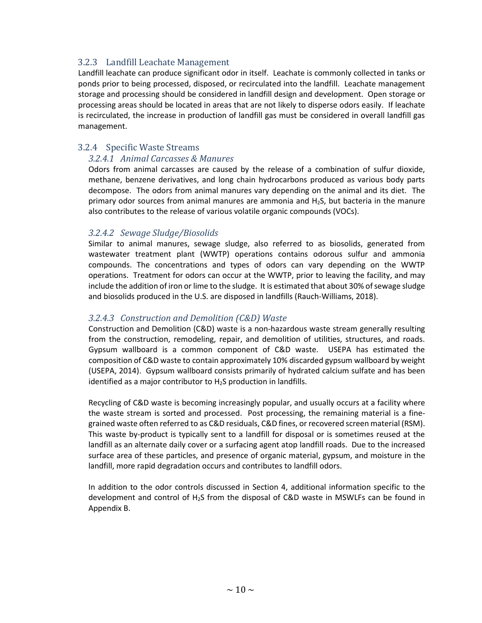#### <span id="page-10-0"></span>3.2.3 Landfill Leachate Management

Landfill leachate can produce significant odor in itself. Leachate is commonly collected in tanks or ponds prior to being processed, disposed, or recirculated into the landfill. Leachate management storage and processing should be considered in landfill design and development. Open storage or processing areas should be located in areas that are not likely to disperse odors easily. If leachate is recirculated, the increase in production of landfill gas must be considered in overall landfill gas management.

#### <span id="page-10-1"></span>3.2.4 Specific Waste Streams

#### *3.2.4.1 Animal Carcasses & Manures*

Odors from animal carcasses are caused by the release of a combination of sulfur dioxide, methane, benzene derivatives, and long chain hydrocarbons produced as various body parts decompose. The odors from animal manures vary depending on the animal and its diet. The primary odor sources from animal manures are ammonia and H2S, but bacteria in the manure also contributes to the release of various volatile organic compounds (VOCs).

#### *3.2.4.2 Sewage Sludge/Biosolids*

Similar to animal manures, sewage sludge, also referred to as biosolids, generated from wastewater treatment plant (WWTP) operations contains odorous sulfur and ammonia compounds. The concentrations and types of odors can vary depending on the WWTP operations. Treatment for odors can occur at the WWTP, prior to leaving the facility, and may include the addition of iron or lime to the sludge. It is estimated that about 30% of sewage sludge and biosolids produced in the U.S. are disposed in landfills (Rauch-Williams, 2018).

#### *3.2.4.3 Construction and Demolition (C&D) Waste*

Construction and Demolition (C&D) waste is a non-hazardous waste stream generally resulting from the construction, remodeling, repair, and demolition of utilities, structures, and roads. Gypsum wallboard is a common component of C&D waste. USEPA has estimated the composition of C&D waste to contain approximately 10% discarded gypsum wallboard by weight (USEPA, 2014). Gypsum wallboard consists primarily of hydrated calcium sulfate and has been identified as a major contributor to H<sub>2</sub>S production in landfills.

Recycling of C&D waste is becoming increasingly popular, and usually occurs at a facility where the waste stream is sorted and processed. Post processing, the remaining material is a finegrained waste often referred to as C&D residuals, C&D fines, or recovered screen material (RSM). This waste by-product is typically sent to a landfill for disposal or is sometimes reused at the landfill as an alternate daily cover or a surfacing agent atop landfill roads. Due to the increased surface area of these particles, and presence of organic material, gypsum, and moisture in the landfill, more rapid degradation occurs and contributes to landfill odors.

In addition to the odor controls discussed in Section 4, additional information specific to the development and control of H2S from the disposal of C&D waste in MSWLFs can be found in Appendix B.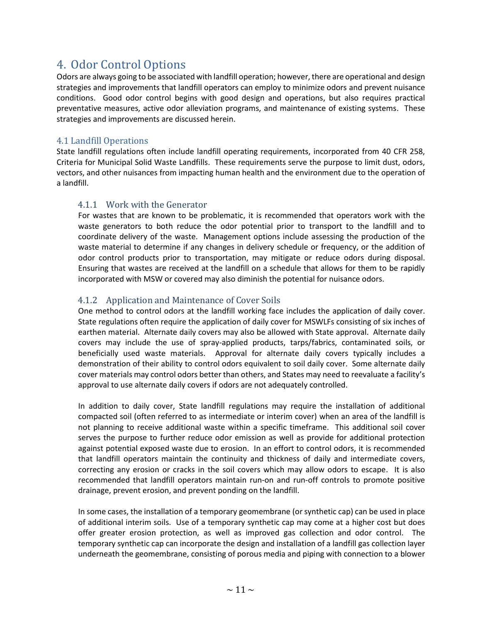## <span id="page-11-0"></span>4. Odor Control Options

Odors are always going to be associated with landfill operation; however, there are operational and design strategies and improvements that landfill operators can employ to minimize odors and prevent nuisance conditions. Good odor control begins with good design and operations, but also requires practical preventative measures, active odor alleviation programs, and maintenance of existing systems. These strategies and improvements are discussed herein.

#### <span id="page-11-1"></span>4.1 Landfill Operations

State landfill regulations often include landfill operating requirements, incorporated from 40 CFR 258, Criteria for Municipal Solid Waste Landfills. These requirements serve the purpose to limit dust, odors, vectors, and other nuisances from impacting human health and the environment due to the operation of a landfill.

#### <span id="page-11-2"></span>4.1.1 Work with the Generator

For wastes that are known to be problematic, it is recommended that operators work with the waste generators to both reduce the odor potential prior to transport to the landfill and to coordinate delivery of the waste. Management options include assessing the production of the waste material to determine if any changes in delivery schedule or frequency, or the addition of odor control products prior to transportation, may mitigate or reduce odors during disposal. Ensuring that wastes are received at the landfill on a schedule that allows for them to be rapidly incorporated with MSW or covered may also diminish the potential for nuisance odors.

#### <span id="page-11-3"></span>4.1.2 Application and Maintenance of Cover Soils

One method to control odors at the landfill working face includes the application of daily cover. State regulations often require the application of daily cover for MSWLFs consisting of six inches of earthen material. Alternate daily covers may also be allowed with State approval. Alternate daily covers may include the use of spray-applied products, tarps/fabrics, contaminated soils, or beneficially used waste materials. Approval for alternate daily covers typically includes a demonstration of their ability to control odors equivalent to soil daily cover. Some alternate daily cover materials may control odors better than others, and States may need to reevaluate a facility's approval to use alternate daily covers if odors are not adequately controlled.

In addition to daily cover, State landfill regulations may require the installation of additional compacted soil (often referred to as intermediate or interim cover) when an area of the landfill is not planning to receive additional waste within a specific timeframe. This additional soil cover serves the purpose to further reduce odor emission as well as provide for additional protection against potential exposed waste due to erosion. In an effort to control odors, it is recommended that landfill operators maintain the continuity and thickness of daily and intermediate covers, correcting any erosion or cracks in the soil covers which may allow odors to escape. It is also recommended that landfill operators maintain run-on and run-off controls to promote positive drainage, prevent erosion, and prevent ponding on the landfill.

In some cases, the installation of a temporary geomembrane (or synthetic cap) can be used in place of additional interim soils. Use of a temporary synthetic cap may come at a higher cost but does offer greater erosion protection, as well as improved gas collection and odor control. The temporary synthetic cap can incorporate the design and installation of a landfill gas collection layer underneath the geomembrane, consisting of porous media and piping with connection to a blower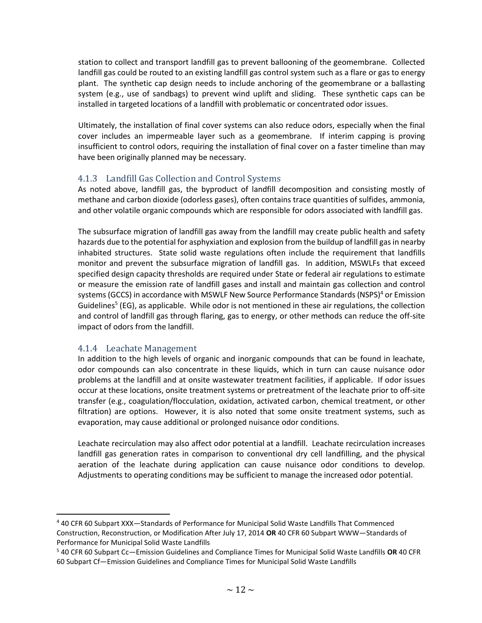station to collect and transport landfill gas to prevent ballooning of the geomembrane. Collected landfill gas could be routed to an existing landfill gas control system such as a flare or gas to energy plant. The synthetic cap design needs to include anchoring of the geomembrane or a ballasting system (e.g., use of sandbags) to prevent wind uplift and sliding. These synthetic caps can be installed in targeted locations of a landfill with problematic or concentrated odor issues.

Ultimately, the installation of final cover systems can also reduce odors, especially when the final cover includes an impermeable layer such as a geomembrane. If interim capping is proving insufficient to control odors, requiring the installation of final cover on a faster timeline than may have been originally planned may be necessary.

#### <span id="page-12-0"></span>4.1.3 Landfill Gas Collection and Control Systems

As noted above, landfill gas, the byproduct of landfill decomposition and consisting mostly of methane and carbon dioxide (odorless gases), often contains trace quantities of sulfides, ammonia, and other volatile organic compounds which are responsible for odors associated with landfill gas.

The subsurface migration of landfill gas away from the landfill may create public health and safety hazards due to the potential for asphyxiation and explosion from the buildup of landfill gas in nearby inhabited structures. State solid waste regulations often include the requirement that landfills monitor and prevent the subsurface migration of landfill gas. In addition, MSWLFs that exceed specified design capacity thresholds are required under State or federal air regulations to estimate or measure the emission rate of landfill gases and install and maintain gas collection and control systems (GCCS) in accordance with MSWLF New Source Performance Standards (NSPS)<sup>4</sup> or Emission Guidelines<sup>5</sup> (EG), as applicable. While odor is not mentioned in these air regulations, the collection and control of landfill gas through flaring, gas to energy, or other methods can reduce the off-site impact of odors from the landfill.

#### <span id="page-12-1"></span>4.1.4 Leachate Management

In addition to the high levels of organic and inorganic compounds that can be found in leachate, odor compounds can also concentrate in these liquids, which in turn can cause nuisance odor problems at the landfill and at onsite wastewater treatment facilities, if applicable. If odor issues occur at these locations, onsite treatment systems or pretreatment of the leachate prior to off-site transfer (e.g., coagulation/flocculation, oxidation, activated carbon, chemical treatment, or other filtration) are options. However, it is also noted that some onsite treatment systems, such as evaporation, may cause additional or prolonged nuisance odor conditions.

Leachate recirculation may also affect odor potential at a landfill. Leachate recirculation increases landfill gas generation rates in comparison to conventional dry cell landfilling, and the physical aeration of the leachate during application can cause nuisance odor conditions to develop. Adjustments to operating conditions may be sufficient to manage the increased odor potential.

<sup>4</sup> 40 CFR 60 Subpart XXX—Standards of Performance for Municipal Solid Waste Landfills That Commenced Construction, Reconstruction, or Modification After July 17, 2014 **OR** 40 CFR 60 Subpart WWW—Standards of Performance for Municipal Solid Waste Landfills

<sup>5</sup> 40 CFR 60 Subpart Cc—Emission Guidelines and Compliance Times for Municipal Solid Waste Landfills **OR** 40 CFR 60 Subpart Cf—Emission Guidelines and Compliance Times for Municipal Solid Waste Landfills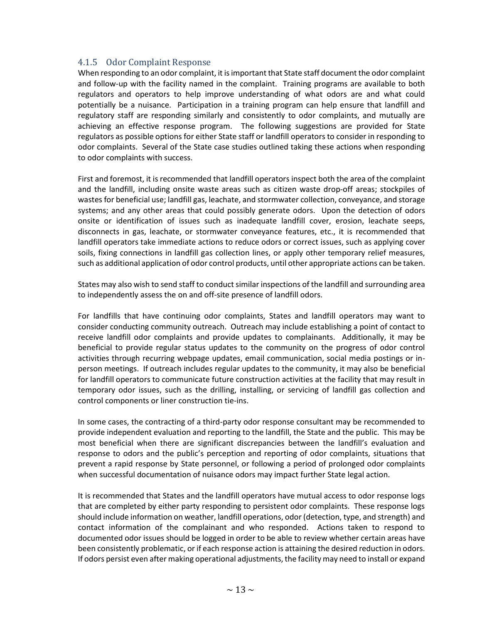#### <span id="page-13-0"></span>4.1.5 Odor Complaint Response

When responding to an odor complaint, it is important that State staff document the odor complaint and follow-up with the facility named in the complaint. Training programs are available to both regulators and operators to help improve understanding of what odors are and what could potentially be a nuisance. Participation in a training program can help ensure that landfill and regulatory staff are responding similarly and consistently to odor complaints, and mutually are achieving an effective response program. The following suggestions are provided for State regulators as possible options for either State staff or landfill operators to consider in responding to odor complaints. Several of the State case studies outlined taking these actions when responding to odor complaints with success.

First and foremost, it is recommended that landfill operators inspect both the area of the complaint and the landfill, including onsite waste areas such as citizen waste drop-off areas; stockpiles of wastes for beneficial use; landfill gas, leachate, and stormwater collection, conveyance, and storage systems; and any other areas that could possibly generate odors. Upon the detection of odors onsite or identification of issues such as inadequate landfill cover, erosion, leachate seeps, disconnects in gas, leachate, or stormwater conveyance features, etc., it is recommended that landfill operators take immediate actions to reduce odors or correct issues, such as applying cover soils, fixing connections in landfill gas collection lines, or apply other temporary relief measures, such as additional application of odor control products, until other appropriate actions can be taken.

States may also wish to send staff to conduct similar inspections of the landfill and surrounding area to independently assess the on and off-site presence of landfill odors.

For landfills that have continuing odor complaints, States and landfill operators may want to consider conducting community outreach. Outreach may include establishing a point of contact to receive landfill odor complaints and provide updates to complainants. Additionally, it may be beneficial to provide regular status updates to the community on the progress of odor control activities through recurring webpage updates, email communication, social media postings or inperson meetings. If outreach includes regular updates to the community, it may also be beneficial for landfill operators to communicate future construction activities at the facility that may result in temporary odor issues, such as the drilling, installing, or servicing of landfill gas collection and control components or liner construction tie-ins.

In some cases, the contracting of a third-party odor response consultant may be recommended to provide independent evaluation and reporting to the landfill, the State and the public. This may be most beneficial when there are significant discrepancies between the landfill's evaluation and response to odors and the public's perception and reporting of odor complaints, situations that prevent a rapid response by State personnel, or following a period of prolonged odor complaints when successful documentation of nuisance odors may impact further State legal action.

It is recommended that States and the landfill operators have mutual access to odor response logs that are completed by either party responding to persistent odor complaints. These response logs should include information on weather, landfill operations, odor (detection, type, and strength) and contact information of the complainant and who responded. Actions taken to respond to documented odor issues should be logged in order to be able to review whether certain areas have been consistently problematic, or if each response action is attaining the desired reduction in odors. If odors persist even after making operational adjustments, the facility may need to install or expand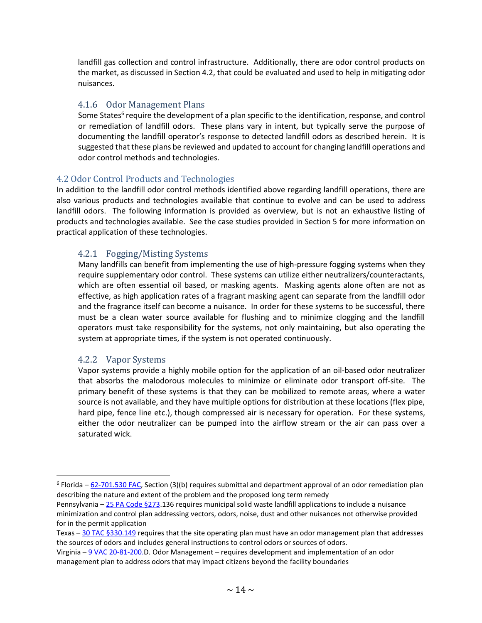landfill gas collection and control infrastructure. Additionally, there are odor control products on the market, as discussed in Section 4.2, that could be evaluated and used to help in mitigating odor nuisances.

#### <span id="page-14-0"></span>4.1.6 Odor Management Plans

Some States<sup>6</sup> require the development of a plan specific to the identification, response, and control or remediation of landfill odors. These plans vary in intent, but typically serve the purpose of documenting the landfill operator's response to detected landfill odors as described herein. It is suggested that these plans be reviewed and updated to account for changing landfill operations and odor control methods and technologies.

#### <span id="page-14-1"></span>4.2 Odor Control Products and Technologies

In addition to the landfill odor control methods identified above regarding landfill operations, there are also various products and technologies available that continue to evolve and can be used to address landfill odors. The following information is provided as overview, but is not an exhaustive listing of products and technologies available. See the case studies provided in Section 5 for more information on practical application of these technologies.

#### <span id="page-14-2"></span>4.2.1 Fogging/Misting Systems

Many landfills can benefit from implementing the use of high-pressure fogging systems when they require supplementary odor control. These systems can utilize either neutralizers/counteractants, which are often essential oil based, or masking agents. Masking agents alone often are not as effective, as high application rates of a fragrant masking agent can separate from the landfill odor and the fragrance itself can become a nuisance. In order for these systems to be successful, there must be a clean water source available for flushing and to minimize clogging and the landfill operators must take responsibility for the systems, not only maintaining, but also operating the system at appropriate times, if the system is not operated continuously.

#### <span id="page-14-3"></span>4.2.2 Vapor Systems

Vapor systems provide a highly mobile option for the application of an oil-based odor neutralizer that absorbs the malodorous molecules to minimize or eliminate odor transport off-site. The primary benefit of these systems is that they can be mobilized to remote areas, where a water source is not available, and they have multiple options for distribution at these locations (flex pipe, hard pipe, fence line etc.), though compressed air is necessary for operation. For these systems, either the odor neutralizer can be pumped into the airflow stream or the air can pass over a saturated wick.

<sup>&</sup>lt;sup>6</sup> Florida – [62-701.530 FAC,](https://www.flrules.org/gateway/RuleNo.asp?title=SOLID%20WASTE%20MANAGEMENT%20FACILITIES&ID=62-701.530) Section (3)(b) requires submittal and department approval of an odor remediation plan describing the nature and extent of the problem and the proposed long term remedy

Pennsylvania – [25 PA Code §273.1](http://pacodeandbulletin.gov/secure/pacode/data/025/chapter273/025_0273.pdf)36 requires municipal solid waste landfill applications to include a nuisance minimization and control plan addressing vectors, odors, noise, dust and other nuisances not otherwise provided for in the permit application

Texas – [30 TAC §330.149](https://texreg.sos.state.tx.us/public/readtac$ext.TacPage?sl=R&app=9&p_dir=&p_rloc=&p_tloc=&p_ploc=&pg=1&p_tac=&ti=30&pt=1&ch=330&rl=149) requires that the site operating plan must have an odor management plan that addresses the sources of odors and includes general instructions to control odors or sources of odors.

Virginia – [9 VAC 20-81-200.D](https://law.lis.virginia.gov/admincode/title9/agency20/chapter81/section200/). Odor Management – requires development and implementation of an odor management plan to address odors that may impact citizens beyond the facility boundaries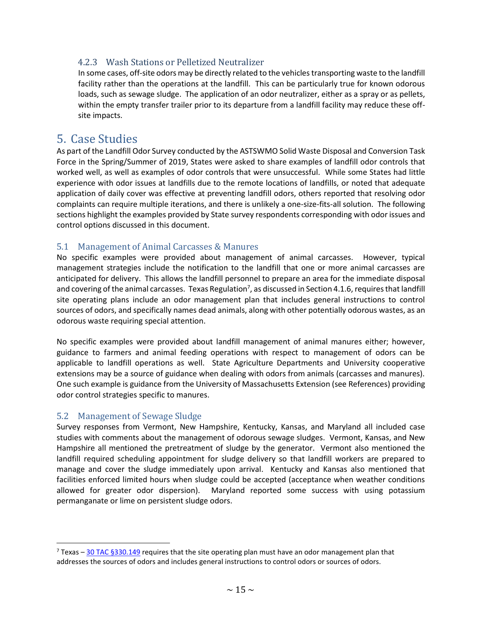#### <span id="page-15-0"></span>4.2.3 Wash Stations or Pelletized Neutralizer

In some cases, off-site odors may be directly related to the vehicles transporting waste to the landfill facility rather than the operations at the landfill. This can be particularly true for known odorous loads, such as sewage sludge. The application of an odor neutralizer, either as a spray or as pellets, within the empty transfer trailer prior to its departure from a landfill facility may reduce these offsite impacts.

#### <span id="page-15-1"></span>5. Case Studies

As part of the Landfill Odor Survey conducted by the ASTSWMO Solid Waste Disposal and Conversion Task Force in the Spring/Summer of 2019, States were asked to share examples of landfill odor controls that worked well, as well as examples of odor controls that were unsuccessful. While some States had little experience with odor issues at landfills due to the remote locations of landfills, or noted that adequate application of daily cover was effective at preventing landfill odors, others reported that resolving odor complaints can require multiple iterations, and there is unlikely a one-size-fits-all solution. The following sections highlight the examples provided by State survey respondents corresponding with odor issues and control options discussed in this document.

#### <span id="page-15-2"></span>5.1 Management of Animal Carcasses & Manures

No specific examples were provided about management of animal carcasses. However, typical management strategies include the notification to the landfill that one or more animal carcasses are anticipated for delivery. This allows the landfill personnel to prepare an area for the immediate disposal and covering of the animal carcasses. Texas Regulation<sup>7</sup>, as discussed in Section 4.1.6, requires that landfill site operating plans include an odor management plan that includes general instructions to control sources of odors, and specifically names dead animals, along with other potentially odorous wastes, as an odorous waste requiring special attention.

No specific examples were provided about landfill management of animal manures either; however, guidance to farmers and animal feeding operations with respect to management of odors can be applicable to landfill operations as well. State Agriculture Departments and University cooperative extensions may be a source of guidance when dealing with odors from animals (carcasses and manures). One such example is guidance from the University of Massachusetts Extension (see References) providing odor control strategies specific to manures.

#### <span id="page-15-3"></span>5.2 Management of Sewage Sludge

Survey responses from Vermont, New Hampshire, Kentucky, Kansas, and Maryland all included case studies with comments about the management of odorous sewage sludges. Vermont, Kansas, and New Hampshire all mentioned the pretreatment of sludge by the generator. Vermont also mentioned the landfill required scheduling appointment for sludge delivery so that landfill workers are prepared to manage and cover the sludge immediately upon arrival. Kentucky and Kansas also mentioned that facilities enforced limited hours when sludge could be accepted (acceptance when weather conditions allowed for greater odor dispersion). Maryland reported some success with using potassium permanganate or lime on persistent sludge odors.

 $7$  Texas – [30 TAC §330.149](https://texreg.sos.state.tx.us/public/readtac$ext.TacPage?sl=R&app=9&p_dir=&p_rloc=&p_tloc=&p_ploc=&pg=1&p_tac=&ti=30&pt=1&ch=330&rl=149) requires that the site operating plan must have an odor management plan that addresses the sources of odors and includes general instructions to control odors or sources of odors.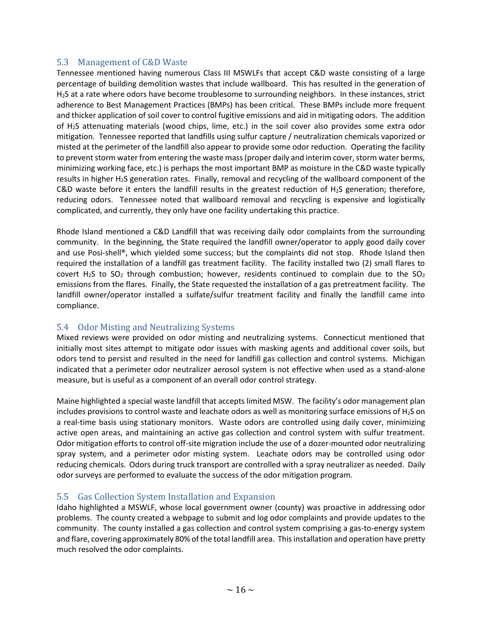#### <span id="page-16-0"></span>5.3 Management of C&D Waste

Tennessee mentioned having numerous Class III MSWLFs that accept C&D waste consisting of a large percentage of building demolition wastes that include wallboard. This has resulted in the generation of H2S at a rate where odors have become troublesome to surrounding neighbors. In these instances, strict adherence to Best Management Practices (BMPs) has been critical. These BMPs include more frequent and thicker application of soil cover to control fugitive emissions and aid in mitigating odors. The addition of H2S attenuating materials (wood chips, lime, etc.) in the soil cover also provides some extra odor mitigation. Tennessee reported that landfills using sulfur capture / neutralization chemicals vaporized or misted at the perimeter of the landfill also appear to provide some odor reduction. Operating the facility to prevent storm water from entering the waste mass (proper daily and interim cover, storm water berms, minimizing working face, etc.) is perhaps the most important BMP as moisture in the C&D waste typically results in higher H2S generation rates. Finally, removal and recycling of the wallboard component of the C&D waste before it enters the landfill results in the greatest reduction of H2S generation; therefore, reducing odors. Tennessee noted that wallboard removal and recycling is expensive and logistically complicated, and currently, they only have one facility undertaking this practice.

Rhode Island mentioned a C&D Landfill that was receiving daily odor complaints from the surrounding community. In the beginning, the State required the landfill owner/operator to apply good daily cover and use Posi-shell®, which yielded some success; but the complaints did not stop. Rhode Island then required the installation of a landfill gas treatment facility. The facility installed two (2) small flares to covert H<sub>2</sub>S to SO<sub>2</sub> through combustion; however, residents continued to complain due to the SO<sub>2</sub> emissions from the flares. Finally, the State requested the installation of a gas pretreatment facility. The landfill owner/operator installed a sulfate/sulfur treatment facility and finally the landfill came into compliance.

#### <span id="page-16-1"></span>5.4 Odor Misting and Neutralizing Systems

Mixed reviews were provided on odor misting and neutralizing systems. Connecticut mentioned that initially most sites attempt to mitigate odor issues with masking agents and additional cover soils, but odors tend to persist and resulted in the need for landfill gas collection and control systems. Michigan indicated that a perimeter odor neutralizer aerosol system is not effective when used as a stand-alone measure, but is useful as a component of an overall odor control strategy.

Maine highlighted a special waste landfill that accepts limited MSW. The facility's odor management plan includes provisions to control waste and leachate odors as well as monitoring surface emissions of  $H_2S$  on a real-time basis using stationary monitors. Waste odors are controlled using daily cover, minimizing active open areas, and maintaining an active gas collection and control system with sulfur treatment. Odor mitigation efforts to control off-site migration include the use of a dozer-mounted odor neutralizing spray system, and a perimeter odor misting system. Leachate odors may be controlled using odor reducing chemicals. Odors during truck transport are controlled with a spray neutralizer as needed. Daily odor surveys are performed to evaluate the success of the odor mitigation program.

#### <span id="page-16-2"></span>5.5 Gas Collection System Installation and Expansion

Idaho highlighted a MSWLF, whose local government owner (county) was proactive in addressing odor problems. The county created a webpage to submit and log odor complaints and provide updates to the community. The county installed a gas collection and control system comprising a gas-to-energy system and flare, covering approximately 80% of the total landfill area. This installation and operation have pretty much resolved the odor complaints.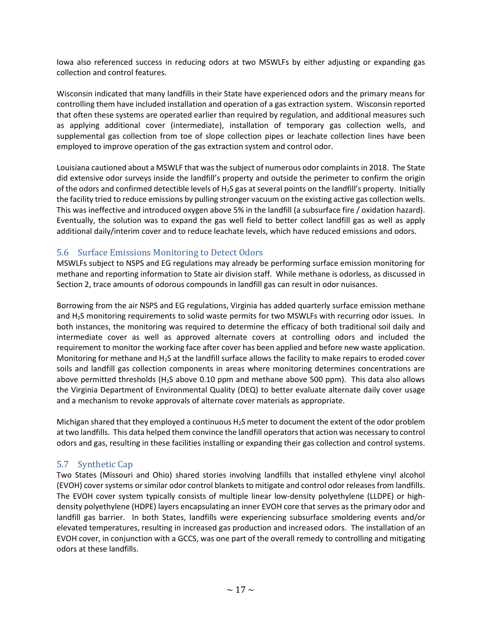Iowa also referenced success in reducing odors at two MSWLFs by either adjusting or expanding gas collection and control features.

Wisconsin indicated that many landfills in their State have experienced odors and the primary means for controlling them have included installation and operation of a gas extraction system. Wisconsin reported that often these systems are operated earlier than required by regulation, and additional measures such as applying additional cover (intermediate), installation of temporary gas collection wells, and supplemental gas collection from toe of slope collection pipes or leachate collection lines have been employed to improve operation of the gas extraction system and control odor.

Louisiana cautioned about a MSWLF that was the subject of numerous odor complaints in 2018. The State did extensive odor surveys inside the landfill's property and outside the perimeter to confirm the origin of the odors and confirmed detectible levels of  $H_2S$  gas at several points on the landfill's property. Initially the facility tried to reduce emissions by pulling stronger vacuum on the existing active gas collection wells. This was ineffective and introduced oxygen above 5% in the landfill (a subsurface fire / oxidation hazard). Eventually, the solution was to expand the gas well field to better collect landfill gas as well as apply additional daily/interim cover and to reduce leachate levels, which have reduced emissions and odors.

#### <span id="page-17-0"></span>5.6 Surface Emissions Monitoring to Detect Odors

MSWLFs subject to NSPS and EG regulations may already be performing surface emission monitoring for methane and reporting information to State air division staff. While methane is odorless, as discussed in Section 2, trace amounts of odorous compounds in landfill gas can result in odor nuisances.

Borrowing from the air NSPS and EG regulations, Virginia has added quarterly surface emission methane and H<sub>2</sub>S monitoring requirements to solid waste permits for two MSWLFs with recurring odor issues. In both instances, the monitoring was required to determine the efficacy of both traditional soil daily and intermediate cover as well as approved alternate covers at controlling odors and included the requirement to monitor the working face after cover has been applied and before new waste application. Monitoring for methane and H<sub>2</sub>S at the landfill surface allows the facility to make repairs to eroded cover soils and landfill gas collection components in areas where monitoring determines concentrations are above permitted thresholds (H2S above 0.10 ppm and methane above 500 ppm). This data also allows the Virginia Department of Environmental Quality (DEQ) to better evaluate alternate daily cover usage and a mechanism to revoke approvals of alternate cover materials as appropriate.

Michigan shared that they employed a continuous  $H_2S$  meter to document the extent of the odor problem at two landfills. This data helped them convince the landfill operators that action was necessary to control odors and gas, resulting in these facilities installing or expanding their gas collection and control systems.

#### <span id="page-17-1"></span>5.7 Synthetic Cap

Two States (Missouri and Ohio) shared stories involving landfills that installed ethylene vinyl alcohol (EVOH) cover systems or similar odor control blankets to mitigate and control odor releases from landfills. The EVOH cover system typically consists of multiple linear low-density polyethylene (LLDPE) or highdensity polyethylene (HDPE) layers encapsulating an inner EVOH core that serves as the primary odor and landfill gas barrier. In both States, landfills were experiencing subsurface smoldering events and/or elevated temperatures, resulting in increased gas production and increased odors. The installation of an EVOH cover, in conjunction with a GCCS, was one part of the overall remedy to controlling and mitigating odors at these landfills.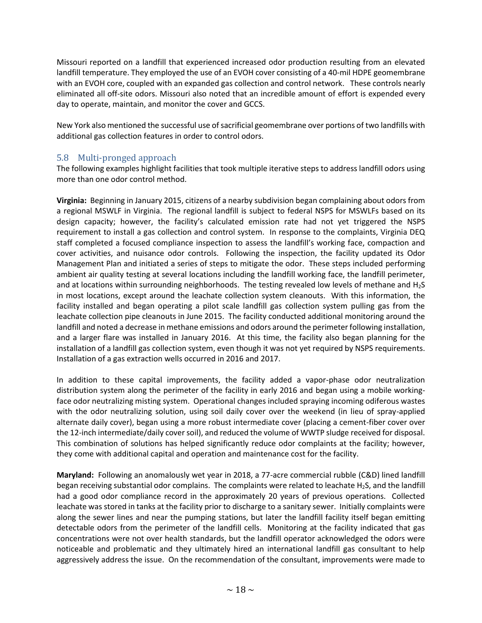Missouri reported on a landfill that experienced increased odor production resulting from an elevated landfill temperature. They employed the use of an EVOH cover consisting of a 40-mil HDPE geomembrane with an EVOH core, coupled with an expanded gas collection and control network. These controls nearly eliminated all off-site odors. Missouri also noted that an incredible amount of effort is expended every day to operate, maintain, and monitor the cover and GCCS.

New York also mentioned the successful use of sacrificial geomembrane over portions of two landfills with additional gas collection features in order to control odors.

#### <span id="page-18-0"></span>5.8 Multi-pronged approach

The following examples highlight facilities that took multiple iterative steps to address landfill odors using more than one odor control method.

**Virginia:** Beginning in January 2015, citizens of a nearby subdivision began complaining about odors from a regional MSWLF in Virginia. The regional landfill is subject to federal NSPS for MSWLFs based on its design capacity; however, the facility's calculated emission rate had not yet triggered the NSPS requirement to install a gas collection and control system. In response to the complaints, Virginia DEQ staff completed a focused compliance inspection to assess the landfill's working face, compaction and cover activities, and nuisance odor controls. Following the inspection, the facility updated its Odor Management Plan and initiated a series of steps to mitigate the odor. These steps included performing ambient air quality testing at several locations including the landfill working face, the landfill perimeter, and at locations within surrounding neighborhoods. The testing revealed low levels of methane and H<sub>2</sub>S in most locations, except around the leachate collection system cleanouts. With this information, the facility installed and began operating a pilot scale landfill gas collection system pulling gas from the leachate collection pipe cleanouts in June 2015. The facility conducted additional monitoring around the landfill and noted a decrease in methane emissions and odors around the perimeter following installation, and a larger flare was installed in January 2016. At this time, the facility also began planning for the installation of a landfill gas collection system, even though it was not yet required by NSPS requirements. Installation of a gas extraction wells occurred in 2016 and 2017.

In addition to these capital improvements, the facility added a vapor-phase odor neutralization distribution system along the perimeter of the facility in early 2016 and began using a mobile workingface odor neutralizing misting system. Operational changes included spraying incoming odiferous wastes with the odor neutralizing solution, using soil daily cover over the weekend (in lieu of spray-applied alternate daily cover), began using a more robust intermediate cover (placing a cement-fiber cover over the 12-inch intermediate/daily cover soil), and reduced the volume of WWTP sludge received for disposal. This combination of solutions has helped significantly reduce odor complaints at the facility; however, they come with additional capital and operation and maintenance cost for the facility.

**Maryland:** Following an anomalously wet year in 2018, a 77-acre commercial rubble (C&D) lined landfill began receiving substantial odor complains. The complaints were related to leachate  $H_2S$ , and the landfill had a good odor compliance record in the approximately 20 years of previous operations. Collected leachate was stored in tanks at the facility prior to discharge to a sanitary sewer. Initially complaints were along the sewer lines and near the pumping stations, but later the landfill facility itself began emitting detectable odors from the perimeter of the landfill cells. Monitoring at the facility indicated that gas concentrations were not over health standards, but the landfill operator acknowledged the odors were noticeable and problematic and they ultimately hired an international landfill gas consultant to help aggressively address the issue. On the recommendation of the consultant, improvements were made to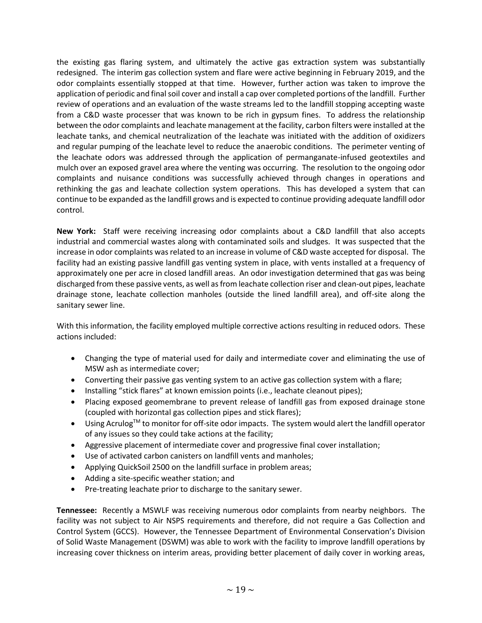the existing gas flaring system, and ultimately the active gas extraction system was substantially redesigned. The interim gas collection system and flare were active beginning in February 2019, and the odor complaints essentially stopped at that time. However, further action was taken to improve the application of periodic and final soil cover and install a cap over completed portions of the landfill. Further review of operations and an evaluation of the waste streams led to the landfill stopping accepting waste from a C&D waste processer that was known to be rich in gypsum fines. To address the relationship between the odor complaints and leachate management at the facility, carbon filters were installed at the leachate tanks, and chemical neutralization of the leachate was initiated with the addition of oxidizers and regular pumping of the leachate level to reduce the anaerobic conditions. The perimeter venting of the leachate odors was addressed through the application of permanganate-infused geotextiles and mulch over an exposed gravel area where the venting was occurring. The resolution to the ongoing odor complaints and nuisance conditions was successfully achieved through changes in operations and rethinking the gas and leachate collection system operations. This has developed a system that can continue to be expanded as the landfill grows and is expected to continue providing adequate landfill odor control.

**New York:** Staff were receiving increasing odor complaints about a C&D landfill that also accepts industrial and commercial wastes along with contaminated soils and sludges. It was suspected that the increase in odor complaints was related to an increase in volume of C&D waste accepted for disposal. The facility had an existing passive landfill gas venting system in place, with vents installed at a frequency of approximately one per acre in closed landfill areas. An odor investigation determined that gas was being discharged from these passive vents, as well as from leachate collection riser and clean-out pipes, leachate drainage stone, leachate collection manholes (outside the lined landfill area), and off-site along the sanitary sewer line.

With this information, the facility employed multiple corrective actions resulting in reduced odors. These actions included:

- Changing the type of material used for daily and intermediate cover and eliminating the use of MSW ash as intermediate cover;
- Converting their passive gas venting system to an active gas collection system with a flare;
- Installing "stick flares" at known emission points (i.e., leachate cleanout pipes);
- Placing exposed geomembrane to prevent release of landfill gas from exposed drainage stone (coupled with horizontal gas collection pipes and stick flares);
- Using Acrulog™ to monitor for off-site odor impacts. The system would alert the landfill operator of any issues so they could take actions at the facility;
- Aggressive placement of intermediate cover and progressive final cover installation;
- Use of activated carbon canisters on landfill vents and manholes;
- Applying QuickSoil 2500 on the landfill surface in problem areas;
- Adding a site-specific weather station; and
- Pre-treating leachate prior to discharge to the sanitary sewer.

**Tennessee:** Recently a MSWLF was receiving numerous odor complaints from nearby neighbors. The facility was not subject to Air NSPS requirements and therefore, did not require a Gas Collection and Control System (GCCS). However, the Tennessee Department of Environmental Conservation's Division of Solid Waste Management (DSWM) was able to work with the facility to improve landfill operations by increasing cover thickness on interim areas, providing better placement of daily cover in working areas,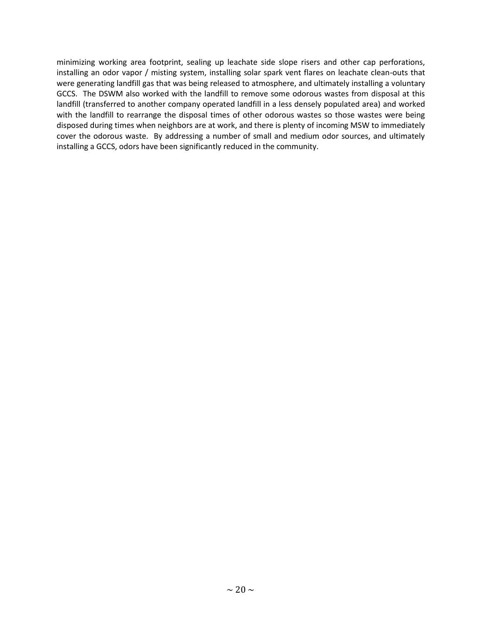minimizing working area footprint, sealing up leachate side slope risers and other cap perforations, installing an odor vapor / misting system, installing solar spark vent flares on leachate clean-outs that were generating landfill gas that was being released to atmosphere, and ultimately installing a voluntary GCCS. The DSWM also worked with the landfill to remove some odorous wastes from disposal at this landfill (transferred to another company operated landfill in a less densely populated area) and worked with the landfill to rearrange the disposal times of other odorous wastes so those wastes were being disposed during times when neighbors are at work, and there is plenty of incoming MSW to immediately cover the odorous waste. By addressing a number of small and medium odor sources, and ultimately installing a GCCS, odors have been significantly reduced in the community.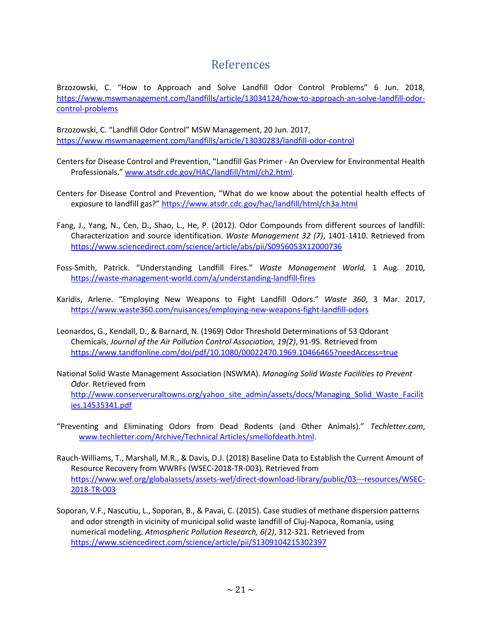### References

<span id="page-21-0"></span>Brzozowski, C. "How to Approach and Solve Landfill Odor Control Problems" 6 Jun. 2018, [https://www.mswmanagement.com/landfills/article/13034124/how-to-approach-an-solve-landfill-odor](https://www.mswmanagement.com/landfills/article/13034124/how-to-approach-an-solve-landfill-odor-control-problems)[control-problems](https://www.mswmanagement.com/landfills/article/13034124/how-to-approach-an-solve-landfill-odor-control-problems)

Brzozowski, C. "Landfill Odor Control" MSW Management, 20 Jun. 2017, <https://www.mswmanagement.com/landfills/article/13030283/landfill-odor-control>

- Centers for Disease Control and Prevention, "Landfill Gas Primer An Overview for Environmental Health Professionals." [www.atsdr.cdc.gov/HAC/landfill/html/ch2.html.](http://www.atsdr.cdc.gov/HAC/landfill/html/ch2.html)
- Centers for Disease Control and Prevention, "What do we know about the potential health effects of exposure to landfill gas?" <https://www.atsdr.cdc.gov/hac/landfill/html/ch3a.html>
- Fang, J., Yang, N., Cen, D., Shao, L., He, P. (2012). Odor Compounds from different sources of landfill: Characterization and source identification. *Waste Management 32 (7)*, 1401-1410. Retrieved from <https://www.sciencedirect.com/science/article/abs/pii/S0956053X12000736>
- Foss-Smith, Patrick. "Understanding Landfill Fires." *Waste Management World,* 1 Aug. 2010, <https://waste-management-world.com/a/understanding-landfill-fires>
- Karidis, Arlene. "Employing New Weapons to Fight Landfill Odors." *Waste 360*, 3 Mar. 2017, <https://www.waste360.com/nuisances/employing-new-weapons-fight-landfill-odors>
- Leonardos, G., Kendall, D., & Barnard, N. (1969) Odor Threshold Determinations of 53 Odorant Chemicals, *Journal of the Air Pollution Control Association, 19(2)*, 91-95. Retrieved from <https://www.tandfonline.com/doi/pdf/10.1080/00022470.1969.10466465?needAccess=true>
- National Solid Waste Management Association (NSWMA). *Managing Solid Waste Facilities to Prevent Odor*. Retrieved from [http://www.conserveruraltowns.org/yahoo\\_site\\_admin/assets/docs/Managing\\_Solid\\_Waste\\_Facilit](http://www.conserveruraltowns.org/yahoo_site_admin/assets/docs/Managing_Solid_Waste_Facilities.14535341.pdf) [ies.14535341.pdf](http://www.conserveruraltowns.org/yahoo_site_admin/assets/docs/Managing_Solid_Waste_Facilities.14535341.pdf)
- "Preventing and Eliminating Odors from Dead Rodents (and Other Animals)." *Techletter.com*, [www.techletter.com/Archive/Technical Articles/smellofdeath.html.](http://www.techletter.com/Archive/Technical%20Articles/smellofdeath.html)
- Rauch-Williams, T., Marshall, M.R., & Davis, D.J. (2018) Baseline Data to Establish the Current Amount of Resource Recovery from WWRFs (WSEC-2018-TR-003). Retrieved from [https://www.wef.org/globalassets/assets-wef/direct-download-library/public/03---resources/WSEC-](https://www.wef.org/globalassets/assets-wef/direct-download-library/public/03---resources/WSEC-2018-TR-003)[2018-TR-003](https://www.wef.org/globalassets/assets-wef/direct-download-library/public/03---resources/WSEC-2018-TR-003)
- Soporan, V.F., Nascutiu, L., Soporan, B., & Pavai, C. (2015). Case studies of methane dispersion patterns and odor strength in vicinity of municipal solid waste landfill of Cluj-Napoca, Romania, using numerical modeling. *Atmospheric Pollution Research, 6(2)*, 312-321. Retrieved from <https://www.sciencedirect.com/science/article/pii/S1309104215302397>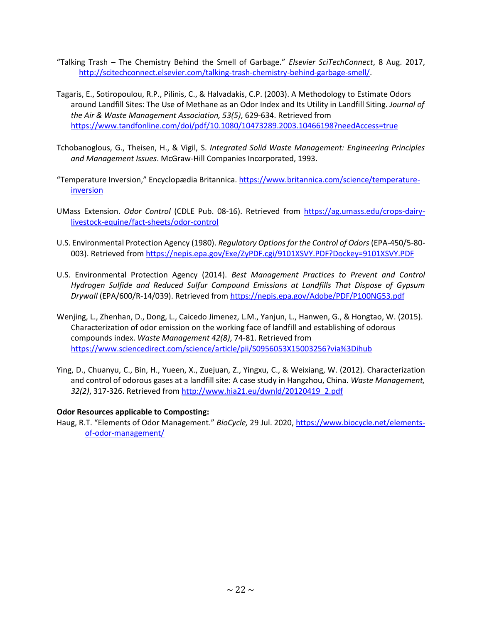- "Talking Trash The Chemistry Behind the Smell of Garbage." *Elsevier SciTechConnect*, 8 Aug. 2017, [http://scitechconnect.elsevier.com/talking-trash-chemistry-behind-garbage-smell/.](http://scitechconnect.elsevier.com/talking-trash-chemistry-behind-garbage-smell/)
- Tagaris, E., Sotiropoulou, R.P., Pilinis, C., & Halvadakis, C.P. (2003). A Methodology to Estimate Odors around Landfill Sites: The Use of Methane as an Odor Index and Its Utility in Landfill Siting. *Journal of the Air & Waste Management Association, 53(5)*, 629-634. Retrieved from <https://www.tandfonline.com/doi/pdf/10.1080/10473289.2003.10466198?needAccess=true>
- Tchobanoglous, G., Theisen, H., & Vigil, S. *Integrated Solid Waste Management: Engineering Principles and Management Issues*. McGraw-Hill Companies Incorporated, 1993.
- "Temperature Inversion," Encyclopædia Britannica[. https://www.britannica.com/science/temperature](https://www.britannica.com/science/temperature-inversion)[inversion](https://www.britannica.com/science/temperature-inversion)
- UMass Extension. *Odor Control* (CDLE Pub. 08-16). Retrieved from [https://ag.umass.edu/crops-dairy](https://ag.umass.edu/crops-dairy-livestock-equine/fact-sheets/odor-control)[livestock-equine/fact-sheets/odor-control](https://ag.umass.edu/crops-dairy-livestock-equine/fact-sheets/odor-control)
- U.S. Environmental Protection Agency (1980). *Regulatory Options for the Control of Odors* (EPA-450/5-80- 003). Retrieved from<https://nepis.epa.gov/Exe/ZyPDF.cgi/9101XSVY.PDF?Dockey=9101XSVY.PDF>
- U.S. Environmental Protection Agency (2014). *Best Management Practices to Prevent and Control Hydrogen Sulfide and Reduced Sulfur Compound Emissions at Landfills That Dispose of Gypsum Drywall* (EPA/600/R-14/039). Retrieved fro[m https://nepis.epa.gov/Adobe/PDF/P100NG53.pdf](https://nepis.epa.gov/Adobe/PDF/P100NG53.pdf)
- Wenjing, L., Zhenhan, D., Dong, L., Caicedo Jimenez, L.M., Yanjun, L., Hanwen, G., & Hongtao, W. (2015). Characterization of odor emission on the working face of landfill and establishing of odorous compounds index. *Waste Management 42(8)*, 74-81. Retrieved from <https://www.sciencedirect.com/science/article/pii/S0956053X15003256?via%3Dihub>
- Ying, D., Chuanyu, C., Bin, H., Yueen, X., Zuejuan, Z., Yingxu, C., & Weixiang, W. (2012). Characterization and control of odorous gases at a landfill site: A case study in Hangzhou, China. *Waste Management, 32(2)*, 317-326. Retrieved fro[m http://www.hia21.eu/dwnld/20120419\\_2.pdf](http://www.hia21.eu/dwnld/20120419_2.pdf)

#### **Odor Resources applicable to Composting:**

Haug, R.T. "Elements of Odor Management." *BioCycle,* 29 Jul. 2020, [https://www.biocycle.net/elements](https://www.biocycle.net/elements-of-odor-management/)[of-odor-management/](https://www.biocycle.net/elements-of-odor-management/)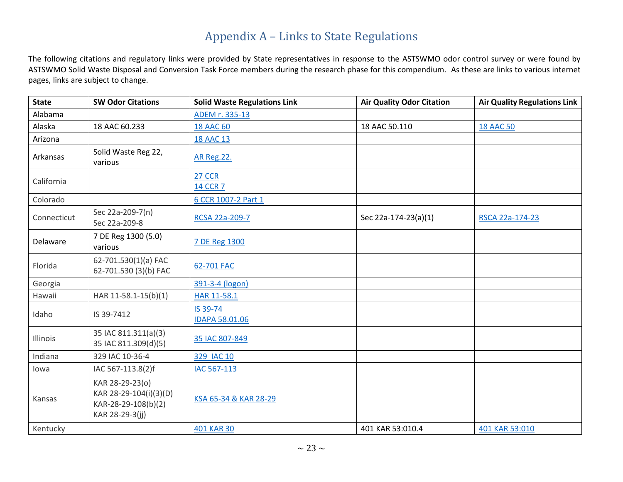## Appendix A – Links to State Regulations

The following citations and regulatory links were provided by State representatives in response to the ASTSWMO odor control survey or were found by ASTSWMO Solid Waste Disposal and Conversion Task Force members during the research phase for this compendium. As these are links to various internet pages, links are subject to change.

<span id="page-23-0"></span>

| <b>State</b> | <b>SW Odor Citations</b>                                                            | <b>Solid Waste Regulations Link</b> | <b>Air Quality Odor Citation</b> | <b>Air Quality Regulations Link</b> |
|--------------|-------------------------------------------------------------------------------------|-------------------------------------|----------------------------------|-------------------------------------|
| Alabama      |                                                                                     | ADEM r. 335-13                      |                                  |                                     |
| Alaska       | 18 AAC 60.233                                                                       | <b>18 AAC 60</b>                    | 18 AAC 50.110                    | <b>18 AAC 50</b>                    |
| Arizona      |                                                                                     | <b>18 AAC 13</b>                    |                                  |                                     |
| Arkansas     | Solid Waste Reg 22,<br>various                                                      | <b>AR Reg.22.</b>                   |                                  |                                     |
| California   |                                                                                     | <b>27 CCR</b><br><b>14 CCR 7</b>    |                                  |                                     |
| Colorado     |                                                                                     | 6 CCR 1007-2 Part 1                 |                                  |                                     |
| Connecticut  | Sec 22a-209-7(n)<br>Sec 22a-209-8                                                   | RCSA 22a-209-7                      | Sec 22a-174-23(a)(1)             | RSCA 22a-174-23                     |
| Delaware     | 7 DE Reg 1300 (5.0)<br>various                                                      | 7 DE Reg 1300                       |                                  |                                     |
| Florida      | 62-701.530(1)(a) FAC<br>62-701.530 (3)(b) FAC                                       | 62-701 FAC                          |                                  |                                     |
| Georgia      |                                                                                     | 391-3-4 (logon)                     |                                  |                                     |
| Hawaii       | HAR 11-58.1-15(b)(1)                                                                | HAR 11-58.1                         |                                  |                                     |
| Idaho        | IS 39-7412                                                                          | IS 39-74<br><b>IDAPA 58.01.06</b>   |                                  |                                     |
| Illinois     | 35 IAC 811.311(a)(3)<br>35 IAC 811.309(d)(5)                                        | 35 IAC 807-849                      |                                  |                                     |
| Indiana      | 329 IAC 10-36-4                                                                     | 329 IAC 10                          |                                  |                                     |
| lowa         | IAC 567-113.8(2)f                                                                   | IAC 567-113                         |                                  |                                     |
| Kansas       | KAR 28-29-23(o)<br>KAR 28-29-104(i)(3)(D)<br>KAR-28-29-108(b)(2)<br>KAR 28-29-3(jj) | KSA 65-34 & KAR 28-29               |                                  |                                     |
| Kentucky     |                                                                                     | 401 KAR 30                          | 401 KAR 53:010.4                 | 401 KAR 53:010                      |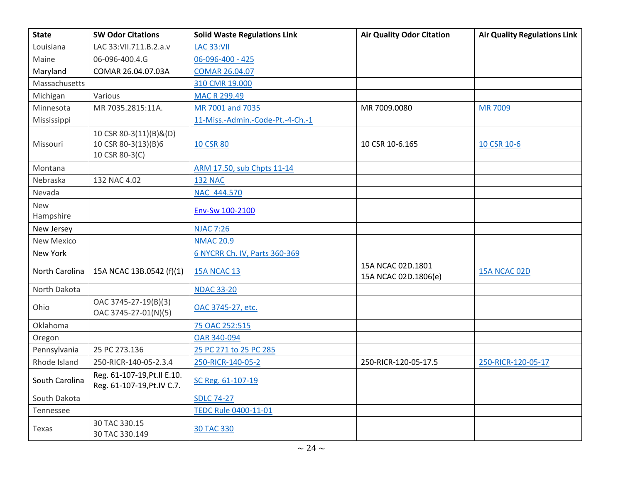| <b>State</b>            | <b>SW Odor Citations</b>                                        | <b>Solid Waste Regulations Link</b> | <b>Air Quality Odor Citation</b>          | <b>Air Quality Regulations Link</b> |
|-------------------------|-----------------------------------------------------------------|-------------------------------------|-------------------------------------------|-------------------------------------|
| Louisiana               | LAC 33: VII.711.B.2.a.v                                         | <b>LAC 33:VII</b>                   |                                           |                                     |
| Maine                   | 06-096-400.4.G                                                  | 06-096-400 - 425                    |                                           |                                     |
| Maryland                | COMAR 26.04.07.03A                                              | COMAR 26.04.07                      |                                           |                                     |
| Massachusetts           |                                                                 | 310 CMR 19.000                      |                                           |                                     |
| Michigan                | Various                                                         | <b>MAC R 299.49</b>                 |                                           |                                     |
| Minnesota               | MR 7035.2815:11A.                                               | MR 7001 and 7035                    | MR 7009.0080                              | <b>MR7009</b>                       |
| Mississippi             |                                                                 | 11-Miss.-Admin.-Code-Pt.-4-Ch.-1    |                                           |                                     |
| Missouri                | 10 CSR 80-3(11)(B)&(D)<br>10 CSR 80-3(13)(B)6<br>10 CSR 80-3(C) | <b>10 CSR 80</b>                    | 10 CSR 10-6.165                           | 10 CSR 10-6                         |
| Montana                 |                                                                 | ARM 17.50, sub Chpts 11-14          |                                           |                                     |
| Nebraska                | 132 NAC 4.02                                                    | <b>132 NAC</b>                      |                                           |                                     |
| Nevada                  |                                                                 | NAC 444.570                         |                                           |                                     |
| <b>New</b><br>Hampshire |                                                                 | Env-Sw 100-2100                     |                                           |                                     |
| New Jersey              |                                                                 | <b>NJAC 7:26</b>                    |                                           |                                     |
| <b>New Mexico</b>       |                                                                 | <b>NMAC 20.9</b>                    |                                           |                                     |
| New York                |                                                                 | 6 NYCRR Ch. IV, Parts 360-369       |                                           |                                     |
| North Carolina          | 15A NCAC 13B.0542 (f)(1)                                        | <b>15A NCAC 13</b>                  | 15A NCAC 02D.1801<br>15A NCAC 02D.1806(e) | 15A NCAC 02D                        |
| North Dakota            |                                                                 | <b>NDAC 33-20</b>                   |                                           |                                     |
| Ohio                    | OAC 3745-27-19(B)(3)<br>OAC 3745-27-01(N)(5)                    | OAC 3745-27, etc.                   |                                           |                                     |
| Oklahoma                |                                                                 | 75 OAC 252:515                      |                                           |                                     |
| Oregon                  |                                                                 | OAR 340-094                         |                                           |                                     |
| Pennsylvania            | 25 PC 273.136                                                   | 25 PC 271 to 25 PC 285              |                                           |                                     |
| Rhode Island            | 250-RICR-140-05-2.3.4                                           | 250-RICR-140-05-2                   | 250-RICR-120-05-17.5                      | 250-RICR-120-05-17                  |
| South Carolina          | Reg. 61-107-19, Pt. II E.10.<br>Reg. 61-107-19, Pt. IV C.7.     | SC Reg. 61-107-19                   |                                           |                                     |
| South Dakota            |                                                                 | <b>SDLC 74-27</b>                   |                                           |                                     |
| Tennessee               |                                                                 | <b>TEDC Rule 0400-11-01</b>         |                                           |                                     |
| Texas                   | 30 TAC 330.15<br>30 TAC 330.149                                 | 30 TAC 330                          |                                           |                                     |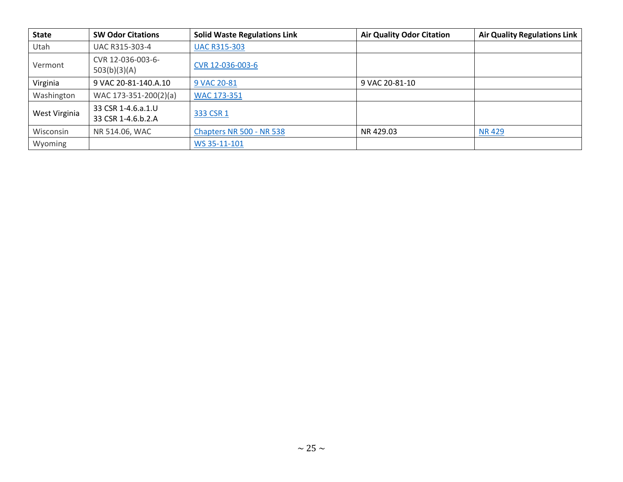| <b>State</b>  | <b>SW Odor Citations</b>                 | <b>Solid Waste Regulations Link</b> | <b>Air Quality Odor Citation</b> | <b>Air Quality Regulations Link</b> |
|---------------|------------------------------------------|-------------------------------------|----------------------------------|-------------------------------------|
| Utah          | UAC R315-303-4                           | <b>UAC R315-303</b>                 |                                  |                                     |
| Vermont       | CVR 12-036-003-6-<br>503(b)(3)(A)        | CVR 12-036-003-6                    |                                  |                                     |
| Virginia      | 9 VAC 20-81-140.A.10                     | 9 VAC 20-81                         | 9 VAC 20-81-10                   |                                     |
| Washington    | WAC 173-351-200(2)(a)                    | WAC 173-351                         |                                  |                                     |
| West Virginia | 33 CSR 1-4.6.a.1.U<br>33 CSR 1-4.6.b.2.A | 333 CSR 1                           |                                  |                                     |
| Wisconsin     | NR 514.06, WAC                           | Chapters NR 500 - NR 538            | NR 429.03                        | <b>NR429</b>                        |
| Wyoming       |                                          | WS 35-11-101                        |                                  |                                     |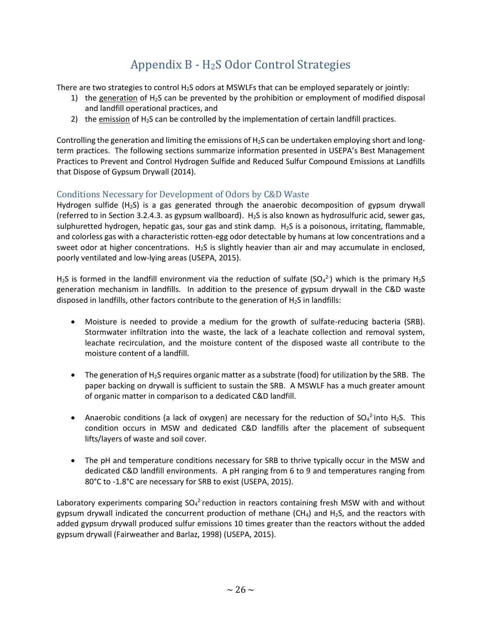## Appendix B - H2S Odor Control Strategies

<span id="page-26-0"></span>There are two strategies to control H<sub>2</sub>S odors at MSWLFs that can be employed separately or jointly:

- 1) the generation of  $H_2S$  can be prevented by the prohibition or employment of modified disposal and landfill operational practices, and
- 2) the emission of  $H_2S$  can be controlled by the implementation of certain landfill practices.

Controlling the generation and limiting the emissions of  $H_2S$  can be undertaken employing short and longterm practices. The following sections summarize information presented in USEPA's Best Management Practices to Prevent and Control Hydrogen Sulfide and Reduced Sulfur Compound Emissions at Landfills that Dispose of Gypsum Drywall (2014).

#### <span id="page-26-1"></span>Conditions Necessary for Development of Odors by C&D Waste

Hydrogen sulfide  $(H<sub>2</sub>S)$  is a gas generated through the anaerobic decomposition of gypsum drywall (referred to in Section 3.2.4.3. as gypsum wallboard). H<sub>2</sub>S is also known as hydrosulfuric acid, sewer gas, sulphuretted hydrogen, hepatic gas, sour gas and stink damp. H2S is a poisonous, irritating, flammable, and colorless gas with a characteristic rotten-egg odor detectable by humans at low concentrations and a sweet odor at higher concentrations.  $H_2S$  is slightly heavier than air and may accumulate in enclosed, poorly ventilated and low-lying areas (USEPA, 2015).

H<sub>2</sub>S is formed in the landfill environment via the reduction of sulfate (SO<sub>4</sub><sup>2-</sup>) which is the primary H<sub>2</sub>S generation mechanism in landfills. In addition to the presence of gypsum drywall in the C&D waste disposed in landfills, other factors contribute to the generation of  $H_2S$  in landfills:

- Moisture is needed to provide a medium for the growth of sulfate-reducing bacteria (SRB). Stormwater infiltration into the waste, the lack of a leachate collection and removal system, leachate recirculation, and the moisture content of the disposed waste all contribute to the moisture content of a landfill.
- The generation of H<sub>2</sub>S requires organic matter as a substrate (food) for utilization by the SRB. The paper backing on drywall is sufficient to sustain the SRB. A MSWLF has a much greater amount of organic matter in comparison to a dedicated C&D landfill.
- Anaerobic conditions (a lack of oxygen) are necessary for the reduction of  $SO_4^2$ -into H<sub>2</sub>S. This condition occurs in MSW and dedicated C&D landfills after the placement of subsequent lifts/layers of waste and soil cover.
- The pH and temperature conditions necessary for SRB to thrive typically occur in the MSW and dedicated C&D landfill environments. A pH ranging from 6 to 9 and temperatures ranging from 80°C to -1.8°C are necessary for SRB to exist (USEPA, 2015).

Laboratory experiments comparing  $SO_4^2$  reduction in reactors containing fresh MSW with and without gypsum drywall indicated the concurrent production of methane  $(CH_4)$  and H<sub>2</sub>S, and the reactors with added gypsum drywall produced sulfur emissions 10 times greater than the reactors without the added gypsum drywall (Fairweather and Barlaz, 1998) (USEPA, 2015).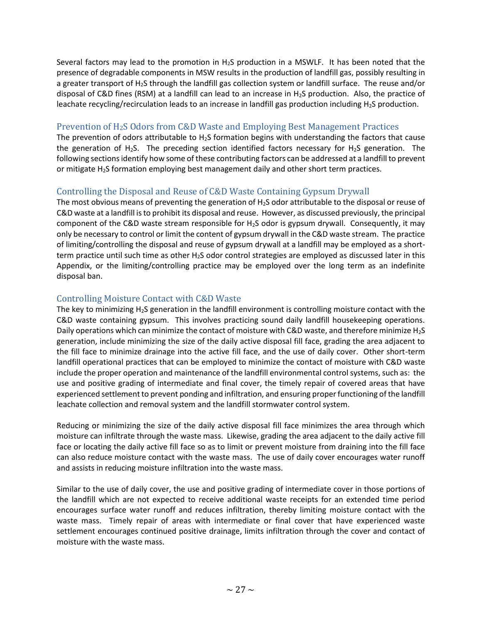Several factors may lead to the promotion in H2S production in a MSWLF. It has been noted that the presence of degradable components in MSW results in the production of landfill gas, possibly resulting in a greater transport of H2S through the landfill gas collection system or landfill surface. The reuse and/or disposal of C&D fines (RSM) at a landfill can lead to an increase in  $H_2S$  production. Also, the practice of leachate recycling/recirculation leads to an increase in landfill gas production including H<sub>2</sub>S production.

#### <span id="page-27-0"></span>Prevention of H2S Odors from C&D Waste and Employing Best Management Practices

The prevention of odors attributable to H<sub>2</sub>S formation begins with understanding the factors that cause the generation of H<sub>2</sub>S. The preceding section identified factors necessary for H<sub>2</sub>S generation. The following sections identify how some of these contributing factors can be addressed at a landfill to prevent or mitigate H2S formation employing best management daily and other short term practices.

#### <span id="page-27-1"></span>Controlling the Disposal and Reuse of C&D Waste Containing Gypsum Drywall

The most obvious means of preventing the generation of  $H_2S$  odor attributable to the disposal or reuse of C&D waste at a landfill is to prohibit its disposal and reuse. However, as discussed previously, the principal component of the C&D waste stream responsible for H2S odor is gypsum drywall. Consequently, it may only be necessary to control or limit the content of gypsum drywall in the C&D waste stream. The practice of limiting/controlling the disposal and reuse of gypsum drywall at a landfill may be employed as a shortterm practice until such time as other  $H_2S$  odor control strategies are employed as discussed later in this Appendix, or the limiting/controlling practice may be employed over the long term as an indefinite disposal ban.

#### <span id="page-27-2"></span>Controlling Moisture Contact with C&D Waste

The key to minimizing  $H_2S$  generation in the landfill environment is controlling moisture contact with the C&D waste containing gypsum. This involves practicing sound daily landfill housekeeping operations. Daily operations which can minimize the contact of moisture with C&D waste, and therefore minimize H<sub>2</sub>S generation, include minimizing the size of the daily active disposal fill face, grading the area adjacent to the fill face to minimize drainage into the active fill face, and the use of daily cover. Other short-term landfill operational practices that can be employed to minimize the contact of moisture with C&D waste include the proper operation and maintenance of the landfill environmental control systems, such as: the use and positive grading of intermediate and final cover, the timely repair of covered areas that have experienced settlement to prevent ponding and infiltration, and ensuring proper functioning of the landfill leachate collection and removal system and the landfill stormwater control system.

Reducing or minimizing the size of the daily active disposal fill face minimizes the area through which moisture can infiltrate through the waste mass. Likewise, grading the area adjacent to the daily active fill face or locating the daily active fill face so as to limit or prevent moisture from draining into the fill face can also reduce moisture contact with the waste mass. The use of daily cover encourages water runoff and assists in reducing moisture infiltration into the waste mass.

Similar to the use of daily cover, the use and positive grading of intermediate cover in those portions of the landfill which are not expected to receive additional waste receipts for an extended time period encourages surface water runoff and reduces infiltration, thereby limiting moisture contact with the waste mass. Timely repair of areas with intermediate or final cover that have experienced waste settlement encourages continued positive drainage, limits infiltration through the cover and contact of moisture with the waste mass.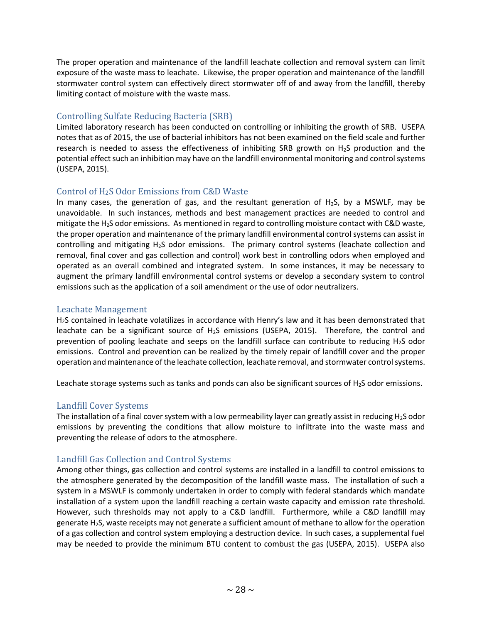The proper operation and maintenance of the landfill leachate collection and removal system can limit exposure of the waste mass to leachate. Likewise, the proper operation and maintenance of the landfill stormwater control system can effectively direct stormwater off of and away from the landfill, thereby limiting contact of moisture with the waste mass.

#### <span id="page-28-0"></span>Controlling Sulfate Reducing Bacteria (SRB)

Limited laboratory research has been conducted on controlling or inhibiting the growth of SRB. USEPA notes that as of 2015, the use of bacterial inhibitors has not been examined on the field scale and further research is needed to assess the effectiveness of inhibiting SRB growth on H2S production and the potential effect such an inhibition may have on the landfill environmental monitoring and control systems (USEPA, 2015).

#### <span id="page-28-1"></span>Control of H2S Odor Emissions from C&D Waste

In many cases, the generation of gas, and the resultant generation of  $H_2S$ , by a MSWLF, may be unavoidable. In such instances, methods and best management practices are needed to control and mitigate the H2S odor emissions. As mentioned in regard to controlling moisture contact with C&D waste, the proper operation and maintenance of the primary landfill environmental control systems can assist in controlling and mitigating H2S odor emissions. The primary control systems (leachate collection and removal, final cover and gas collection and control) work best in controlling odors when employed and operated as an overall combined and integrated system. In some instances, it may be necessary to augment the primary landfill environmental control systems or develop a secondary system to control emissions such as the application of a soil amendment or the use of odor neutralizers.

#### <span id="page-28-2"></span>Leachate Management

H2S contained in leachate volatilizes in accordance with Henry's law and it has been demonstrated that leachate can be a significant source of  $H_2S$  emissions (USEPA, 2015). Therefore, the control and prevention of pooling leachate and seeps on the landfill surface can contribute to reducing  $H_2S$  odor emissions. Control and prevention can be realized by the timely repair of landfill cover and the proper operation and maintenance of the leachate collection, leachate removal, and stormwater control systems.

Leachate storage systems such as tanks and ponds can also be significant sources of H<sub>2</sub>S odor emissions.

#### <span id="page-28-3"></span>Landfill Cover Systems

The installation of a final cover system with a low permeability layer can greatly assist in reducing  $H_2S$  odor emissions by preventing the conditions that allow moisture to infiltrate into the waste mass and preventing the release of odors to the atmosphere.

#### <span id="page-28-4"></span>Landfill Gas Collection and Control Systems

Among other things, gas collection and control systems are installed in a landfill to control emissions to the atmosphere generated by the decomposition of the landfill waste mass. The installation of such a system in a MSWLF is commonly undertaken in order to comply with federal standards which mandate installation of a system upon the landfill reaching a certain waste capacity and emission rate threshold. However, such thresholds may not apply to a C&D landfill. Furthermore, while a C&D landfill may generate H2S, waste receipts may not generate a sufficient amount of methane to allow for the operation of a gas collection and control system employing a destruction device. In such cases, a supplemental fuel may be needed to provide the minimum BTU content to combust the gas (USEPA, 2015). USEPA also